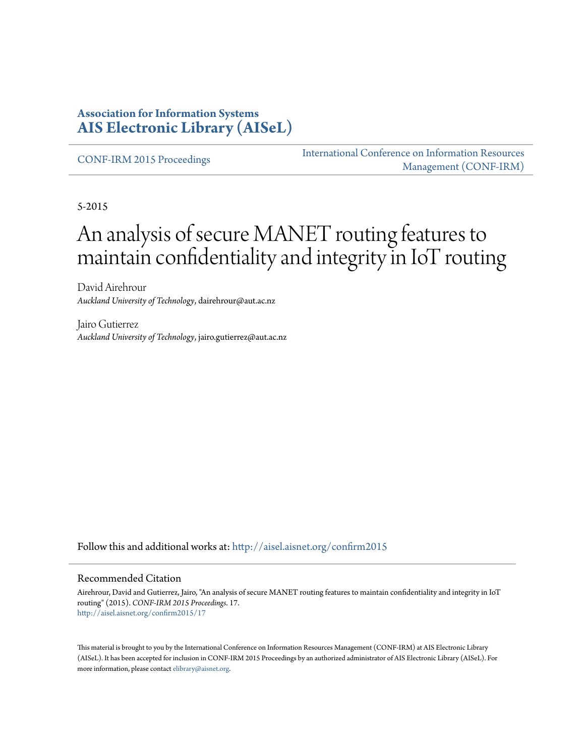### **Association for Information Systems [AIS Electronic Library \(AISeL\)](http://aisel.aisnet.org?utm_source=aisel.aisnet.org%2Fconfirm2015%2F17&utm_medium=PDF&utm_campaign=PDFCoverPages)**

[CONF-IRM 2015 Proceedings](http://aisel.aisnet.org/confirm2015?utm_source=aisel.aisnet.org%2Fconfirm2015%2F17&utm_medium=PDF&utm_campaign=PDFCoverPages)

[International Conference on Information Resources](http://aisel.aisnet.org/conf-irm?utm_source=aisel.aisnet.org%2Fconfirm2015%2F17&utm_medium=PDF&utm_campaign=PDFCoverPages) [Management \(CONF-IRM\)](http://aisel.aisnet.org/conf-irm?utm_source=aisel.aisnet.org%2Fconfirm2015%2F17&utm_medium=PDF&utm_campaign=PDFCoverPages)

5-2015

# An analysis of secure MANET routing features to maintain confidentiality and integrity in IoT routing

David Airehrour *Auckland University of Technology*, dairehrour@aut.ac.nz

Jairo Gutierrez *Auckland University of Technology*, jairo.gutierrez@aut.ac.nz

Follow this and additional works at: [http://aisel.aisnet.org/confirm2015](http://aisel.aisnet.org/confirm2015?utm_source=aisel.aisnet.org%2Fconfirm2015%2F17&utm_medium=PDF&utm_campaign=PDFCoverPages)

#### Recommended Citation

Airehrour, David and Gutierrez, Jairo, "An analysis of secure MANET routing features to maintain confidentiality and integrity in IoT routing" (2015). *CONF-IRM 2015 Proceedings*. 17. [http://aisel.aisnet.org/confirm2015/17](http://aisel.aisnet.org/confirm2015/17?utm_source=aisel.aisnet.org%2Fconfirm2015%2F17&utm_medium=PDF&utm_campaign=PDFCoverPages)

This material is brought to you by the International Conference on Information Resources Management (CONF-IRM) at AIS Electronic Library (AISeL). It has been accepted for inclusion in CONF-IRM 2015 Proceedings by an authorized administrator of AIS Electronic Library (AISeL). For more information, please contact [elibrary@aisnet.org.](mailto:elibrary@aisnet.org%3E)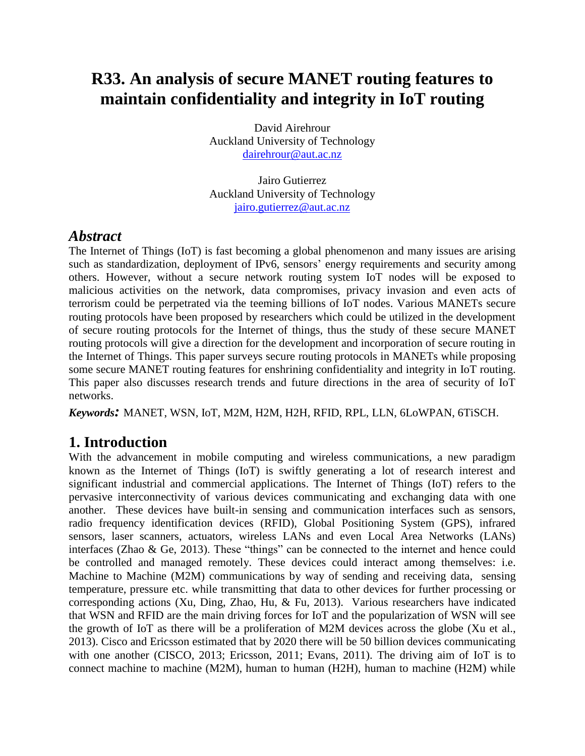## **R33. An analysis of secure MANET routing features to maintain confidentiality and integrity in IoT routing**

David Airehrour Auckland University of Technology [dairehrour@aut.ac.nz](mailto:dairehrour@aut.ac.nz)

Jairo Gutierrez Auckland University of Technology [jairo.gutierrez@aut.ac.nz](mailto:jairo.gutierrez@aut.ac.nz)

### *Abstract*

The Internet of Things (IoT) is fast becoming a global phenomenon and many issues are arising such as standardization, deployment of IPv6, sensors' energy requirements and security among others. However, without a secure network routing system IoT nodes will be exposed to malicious activities on the network, data compromises, privacy invasion and even acts of terrorism could be perpetrated via the teeming billions of IoT nodes. Various MANETs secure routing protocols have been proposed by researchers which could be utilized in the development of secure routing protocols for the Internet of things, thus the study of these secure MANET routing protocols will give a direction for the development and incorporation of secure routing in the Internet of Things. This paper surveys secure routing protocols in MANETs while proposing some secure MANET routing features for enshrining confidentiality and integrity in IoT routing. This paper also discusses research trends and future directions in the area of security of IoT networks.

*Keywords:* MANET, WSN, IoT, M2M, H2M, H2H, RFID, RPL, LLN, 6LoWPAN, 6TiSCH.

### **1. Introduction**

With the advancement in mobile computing and wireless communications, a new paradigm known as the Internet of Things (IoT) is swiftly generating a lot of research interest and significant industrial and commercial applications. The Internet of Things (IoT) refers to the pervasive interconnectivity of various devices communicating and exchanging data with one another. These devices have built-in sensing and communication interfaces such as sensors, radio frequency identification devices (RFID), Global Positioning System (GPS), infrared sensors, laser scanners, actuators, wireless LANs and even Local Area Networks (LANs) interfaces [\(Zhao & Ge, 2013\)](#page-9-0). These "things" can be connected to the internet and hence could be controlled and managed remotely. These devices could interact among themselves: i.e. Machine to Machine (M2M) communications by way of sending and receiving data, sensing temperature, pressure etc. while transmitting that data to other devices for further processing or corresponding actions [\(Xu, Ding, Zhao, Hu, & Fu, 2013\)](#page-9-1). Various researchers have indicated that WSN and RFID are the main driving forces for IoT and the popularization of WSN will see the growth of IoT as there will be a proliferation of M2M devices across the globe [\(Xu et al.,](#page-9-1)  [2013\)](#page-9-1). Cisco and Ericsson estimated that by 2020 there will be 50 billion devices communicating with one another [\(CISCO, 2013;](#page-8-0) [Ericsson, 2011;](#page-8-1) [Evans, 2011\)](#page-8-2). The driving aim of IoT is to connect machine to machine (M2M), human to human (H2H), human to machine (H2M) while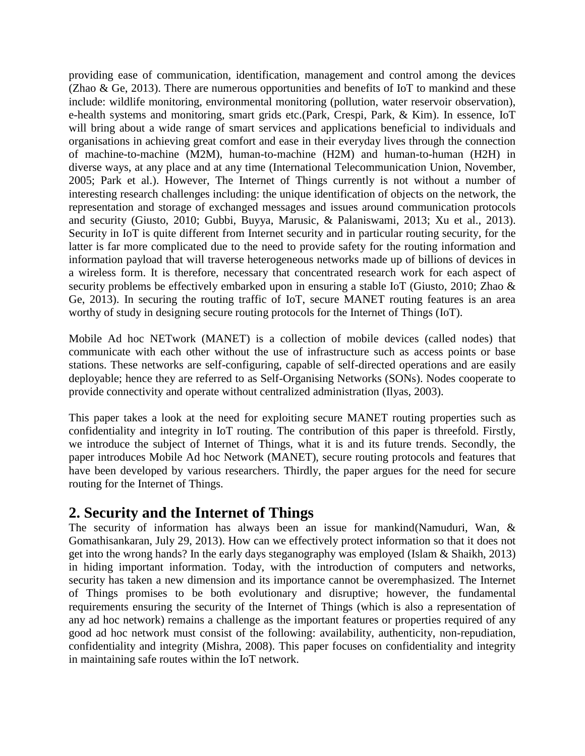providing ease of communication, identification, management and control among the devices [\(Zhao & Ge, 2013\)](#page-9-0). There are numerous opportunities and benefits of IoT to mankind and these include: wildlife monitoring, environmental monitoring (pollution, water reservoir observation), e-health systems and monitoring, smart grids etc.[\(Park, Crespi, Park, & Kim\)](#page-9-2). In essence, IoT will bring about a wide range of smart services and applications beneficial to individuals and organisations in achieving great comfort and ease in their everyday lives through the connection of machine-to-machine (M2M), human-to-machine (H2M) and human-to-human (H2H) in diverse ways, at any place and at any time [\(International Telecommunication Union, November,](#page-8-3)  [2005;](#page-8-3) [Park et al.\)](#page-9-2). However, The Internet of Things currently is not without a number of interesting research challenges including: the unique identification of objects on the network, the representation and storage of exchanged messages and issues around communication protocols and security [\(Giusto, 2010;](#page-8-4) [Gubbi, Buyya, Marusic, & Palaniswami, 2013;](#page-8-5) [Xu et al., 2013\)](#page-9-1). Security in IoT is quite different from Internet security and in particular routing security, for the latter is far more complicated due to the need to provide safety for the routing information and information payload that will traverse heterogeneous networks made up of billions of devices in a wireless form. It is therefore, necessary that concentrated research work for each aspect of security problems be effectively embarked upon in ensuring a stable IoT [\(Giusto, 2010;](#page-8-4) [Zhao &](#page-9-0)  [Ge, 2013\)](#page-9-0). In securing the routing traffic of IoT, secure MANET routing features is an area worthy of study in designing secure routing protocols for the Internet of Things (IoT).

Mobile Ad hoc NETwork (MANET) is a collection of mobile devices (called nodes) that communicate with each other without the use of infrastructure such as access points or base stations. These networks are self-configuring, capable of self-directed operations and are easily deployable; hence they are referred to as Self-Organising Networks (SONs). Nodes cooperate to provide connectivity and operate without centralized administration [\(Ilyas, 2003\)](#page-8-6).

This paper takes a look at the need for exploiting secure MANET routing properties such as confidentiality and integrity in IoT routing. The contribution of this paper is threefold. Firstly, we introduce the subject of Internet of Things, what it is and its future trends. Secondly, the paper introduces Mobile Ad hoc Network (MANET), secure routing protocols and features that have been developed by various researchers. Thirdly, the paper argues for the need for secure routing for the Internet of Things.

### **2. Security and the Internet of Things**

The security of information has always been an issue for mankind[\(Namuduri, Wan, &](#page-9-3)  [Gomathisankaran, July 29, 2013\)](#page-9-3). How can we effectively protect information so that it does not get into the wrong hands? In the early days steganography was employed [\(Islam & Shaikh, 2013\)](#page-8-7) in hiding important information. Today, with the introduction of computers and networks, security has taken a new dimension and its importance cannot be overemphasized. The Internet of Things promises to be both evolutionary and disruptive; however, the fundamental requirements ensuring the security of the Internet of Things (which is also a representation of any ad hoc network) remains a challenge as the important features or properties required of any good ad hoc network must consist of the following: availability, authenticity, non-repudiation, confidentiality and integrity [\(Mishra, 2008\)](#page-9-4). This paper focuses on confidentiality and integrity in maintaining safe routes within the IoT network.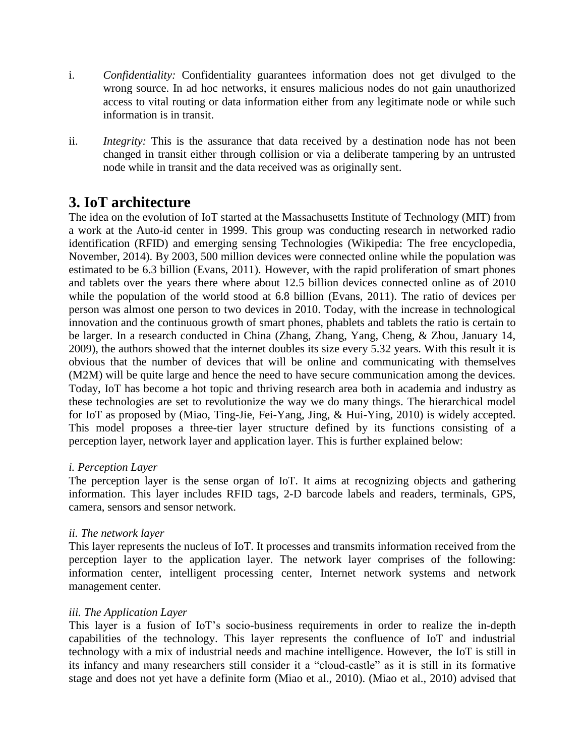- i. *Confidentiality:* Confidentiality guarantees information does not get divulged to the wrong source. In ad hoc networks, it ensures malicious nodes do not gain unauthorized access to vital routing or data information either from any legitimate node or while such information is in transit.
- ii. *Integrity:* This is the assurance that data received by a destination node has not been changed in transit either through collision or via a deliberate tampering by an untrusted node while in transit and the data received was as originally sent.

### **3. IoT architecture**

The idea on the evolution of IoT started at the Massachusetts Institute of Technology (MIT) from a work at the Auto-id center in 1999. This group was conducting research in networked radio identification (RFID) and emerging sensing Technologies [\(Wikipedia: The free encyclopedia,](#page-9-5)  [November, 2014\)](#page-9-5). By 2003, 500 million devices were connected online while the population was estimated to be 6.3 billion [\(Evans, 2011\)](#page-8-2). However, with the rapid proliferation of smart phones and tablets over the years there where about 12.5 billion devices connected online as of 2010 while the population of the world stood at 6.8 billion [\(Evans, 2011\)](#page-8-2). The ratio of devices per person was almost one person to two devices in 2010. Today, with the increase in technological innovation and the continuous growth of smart phones, phablets and tablets the ratio is certain to be larger. In a research conducted in China [\(Zhang, Zhang, Yang, Cheng, & Zhou, January 14,](#page-9-6)  [2009\)](#page-9-6), the authors showed that the internet doubles its size every 5.32 years. With this result it is obvious that the number of devices that will be online and communicating with themselves (M2M) will be quite large and hence the need to have secure communication among the devices. Today, IoT has become a hot topic and thriving research area both in academia and industry as these technologies are set to revolutionize the way we do many things. The hierarchical model for IoT as proposed by [\(Miao, Ting-Jie, Fei-Yang, Jing, & Hui-Ying, 2010\)](#page-9-7) is widely accepted. This model proposes a three-tier layer structure defined by its functions consisting of a perception layer, network layer and application layer. This is further explained below:

#### *i. Perception Layer*

The perception layer is the sense organ of IoT. It aims at recognizing objects and gathering information. This layer includes RFID tags, 2-D barcode labels and readers, terminals, GPS, camera, sensors and sensor network.

#### *ii. The network layer*

This layer represents the nucleus of IoT. It processes and transmits information received from the perception layer to the application layer. The network layer comprises of the following: information center, intelligent processing center, Internet network systems and network management center.

#### *iii. The Application Layer*

This layer is a fusion of IoT's socio-business requirements in order to realize the in-depth capabilities of the technology. This layer represents the confluence of IoT and industrial technology with a mix of industrial needs and machine intelligence. However, the IoT is still in its infancy and many researchers still consider it a "cloud-castle" as it is still in its formative stage and does not yet have a definite form [\(Miao et al., 2010\)](#page-9-7). [\(Miao et al., 2010\)](#page-9-7) advised that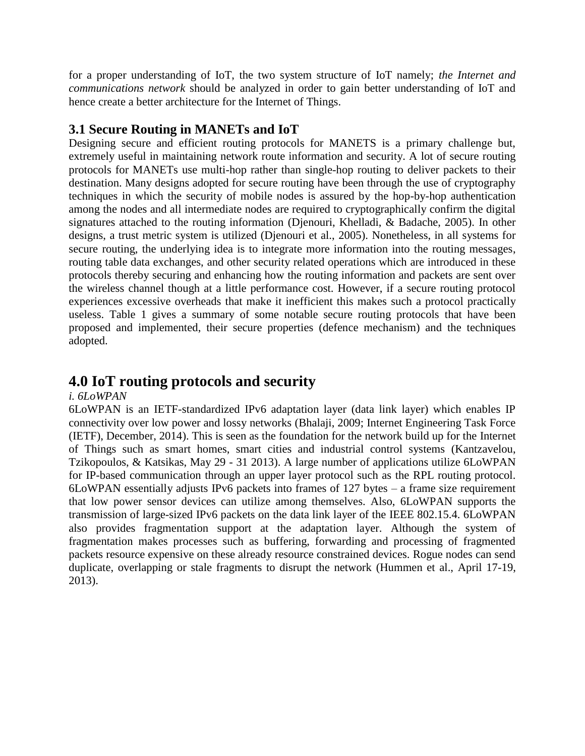for a proper understanding of IoT, the two system structure of IoT namely; *the Internet and communications network* should be analyzed in order to gain better understanding of IoT and hence create a better architecture for the Internet of Things.

### **3.1 Secure Routing in MANETs and IoT**

Designing secure and efficient routing protocols for MANETS is a primary challenge but, extremely useful in maintaining network route information and security. A lot of secure routing protocols for MANETs use multi-hop rather than single-hop routing to deliver packets to their destination. Many designs adopted for secure routing have been through the use of cryptography techniques in which the security of mobile nodes is assured by the hop-by-hop authentication among the nodes and all intermediate nodes are required to cryptographically confirm the digital signatures attached to the routing information [\(Djenouri, Khelladi, & Badache, 2005\)](#page-8-8). In other designs, a trust metric system is utilized [\(Djenouri et al., 2005\)](#page-8-8). Nonetheless, in all systems for secure routing, the underlying idea is to integrate more information into the routing messages, routing table data exchanges, and other security related operations which are introduced in these protocols thereby securing and enhancing how the routing information and packets are sent over the wireless channel though at a little performance cost. However, if a secure routing protocol experiences excessive overheads that make it inefficient this makes such a protocol practically useless. Table 1 gives a summary of some notable secure routing protocols that have been proposed and implemented, their secure properties (defence mechanism) and the techniques adopted.

### **4.0 IoT routing protocols and security**

#### *i. 6LoWPAN*

6LoWPAN is an IETF-standardized IPv6 adaptation layer (data link layer) which enables IP connectivity over low power and lossy networks [\(Bhalaji, 2009;](#page-8-9) [Internet Engineering Task Force](#page-8-10)  [\(IETF\), December, 2014\)](#page-8-10). This is seen as the foundation for the network build up for the Internet of Things such as smart homes, smart cities and industrial control systems [\(Kantzavelou,](#page-8-11)  [Tzikopoulos, & Katsikas, May 29 -](#page-8-11) 31 2013). A large number of applications utilize 6LoWPAN for IP-based communication through an upper layer protocol such as the RPL routing protocol. 6LoWPAN essentially adjusts IPv6 packets into frames of 127 bytes – a frame size requirement that low power sensor devices can utilize among themselves. Also, 6LoWPAN supports the transmission of large-sized IPv6 packets on the data link layer of the IEEE 802.15.4. 6LoWPAN also provides fragmentation support at the adaptation layer. Although the system of fragmentation makes processes such as buffering, forwarding and processing of fragmented packets resource expensive on these already resource constrained devices. Rogue nodes can send duplicate, overlapping or stale fragments to disrupt the network [\(Hummen et al., April 17-19,](#page-8-12)  [2013\)](#page-8-12).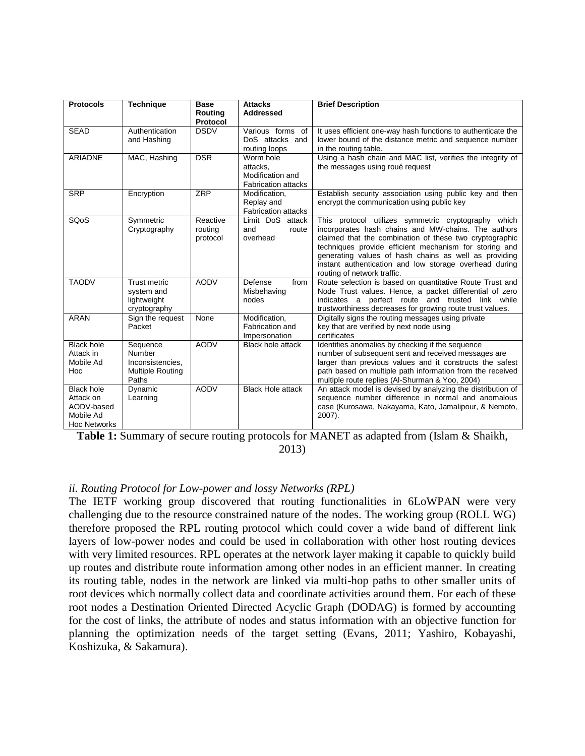| <b>Protocols</b><br><b>Technique</b><br><b>Base</b><br><b>Attacks</b><br><b>Brief Description</b><br><b>Addressed</b><br>Routina       |  |
|----------------------------------------------------------------------------------------------------------------------------------------|--|
| Protocol                                                                                                                               |  |
| <b>SEAD</b><br><b>DSDV</b><br>Authentication<br>Various forms of<br>It uses efficient one-way hash functions to authenticate the       |  |
| DoS attacks and<br>lower bound of the distance metric and sequence number<br>and Hashing                                               |  |
| routing loops<br>in the routing table.                                                                                                 |  |
| <b>DSR</b><br>MAC, Hashing<br>Using a hash chain and MAC list, verifies the integrity of<br><b>ARIADNE</b><br>Worm hole                |  |
| the messages using roué request<br>attacks.                                                                                            |  |
| Modification and                                                                                                                       |  |
| <b>Fabrication attacks</b>                                                                                                             |  |
| ZRP<br><b>SRP</b><br>Encryption<br>Establish security association using public key and then<br>Modification,                           |  |
| Replay and<br>encrypt the communication using public key                                                                               |  |
| <b>Fabrication attacks</b>                                                                                                             |  |
| SQ <sub>o</sub> S<br>Limit DoS attack<br>This protocol utilizes symmetric cryptography which<br>Symmetric<br>Reactive                  |  |
| incorporates hash chains and MW-chains. The authors<br>Cryptography<br>routing<br>and<br>route                                         |  |
| overhead<br>claimed that the combination of these two cryptographic<br>protocol                                                        |  |
| techniques provide efficient mechanism for storing and                                                                                 |  |
| generating values of hash chains as well as providing                                                                                  |  |
| instant authentication and low storage overhead during                                                                                 |  |
| routing of network traffic.                                                                                                            |  |
| <b>TAODV</b><br>Trust metric<br><b>AODV</b><br>Route selection is based on quantitative Route Trust and<br>Defense<br>from             |  |
| Node Trust values. Hence, a packet differential of zero<br>Misbehaving<br>system and                                                   |  |
| lightweight<br>indicates a perfect route and trusted link while<br>nodes                                                               |  |
| trustworthiness decreases for growing route trust values.<br>cryptography                                                              |  |
| <b>ARAN</b><br>Sign the request<br>Modification,<br>Digitally signs the routing messages using private<br>None<br>Packet               |  |
| key that are verified by next node using<br>Fabrication and                                                                            |  |
| certificates<br>Impersonation                                                                                                          |  |
| <b>AODV</b><br>Identifies anomalies by checking if the sequence<br><b>Black hole</b><br><b>Black hole attack</b><br>Sequence<br>Number |  |
| number of subsequent sent and received messages are<br>Attack in<br>Mobile Ad<br>Inconsistencies.                                      |  |
| larger than previous values and it constructs the safest<br><b>Multiple Routing</b><br>Hoc                                             |  |
| path based on multiple path information from the received<br>Paths<br>multiple route replies (Al-Shurman & Yoo, 2004)                  |  |
| <b>AODV</b><br><b>Black Hole attack</b><br>An attack model is devised by analyzing the distribution of<br><b>Black hole</b><br>Dynamic |  |
| sequence number difference in normal and anomalous<br>Learning<br>Attack on                                                            |  |
| AODV-based<br>case (Kurosawa, Nakayama, Kato, Jamalipour, & Nemoto,                                                                    |  |
| Mobile Ad<br>2007).                                                                                                                    |  |
| <b>Hoc Networks</b>                                                                                                                    |  |

**Table 1:** Summary of secure routing protocols for MANET as adapted from [\(Islam & Shaikh,](#page-8-7)  [2013\)](#page-8-7)

#### *ii. Routing Protocol for Low-power and lossy Networks (RPL)*

The IETF working group discovered that routing functionalities in 6LoWPAN were very challenging due to the resource constrained nature of the nodes. The working group (ROLL WG) therefore proposed the RPL routing protocol which could cover a wide band of different link layers of low-power nodes and could be used in collaboration with other host routing devices with very limited resources. RPL operates at the network layer making it capable to quickly build up routes and distribute route information among other nodes in an efficient manner. In creating its routing table, nodes in the network are linked via multi-hop paths to other smaller units of root devices which normally collect data and coordinate activities around them. For each of these root nodes a Destination Oriented Directed Acyclic Graph (DODAG) is formed by accounting for the cost of links, the attribute of nodes and status information with an objective function for planning the optimization needs of the target setting [\(Evans, 2011;](#page-8-2) [Yashiro, Kobayashi,](#page-9-8)  [Koshizuka, & Sakamura\)](#page-9-8).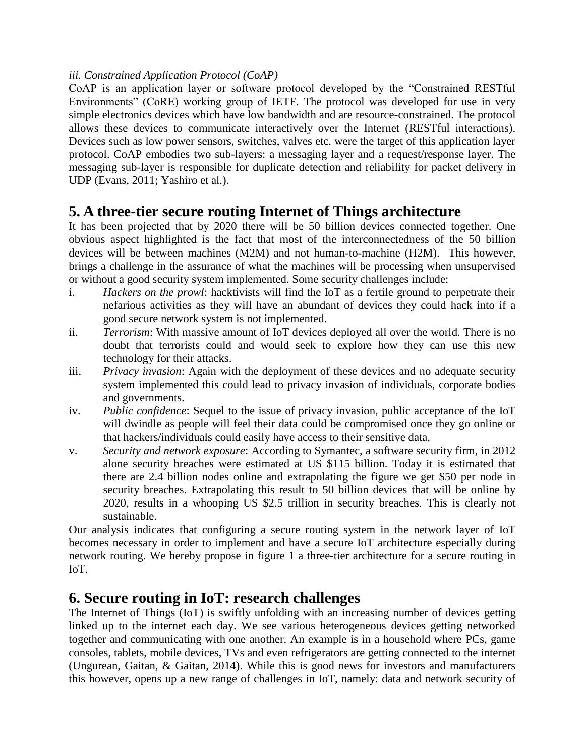#### *iii. Constrained Application Protocol (CoAP)*

CoAP is an application layer or software protocol developed by the "Constrained RESTful Environments" (CoRE) working group of IETF. The protocol was developed for use in very simple electronics devices which have low bandwidth and are resource-constrained. The protocol allows these devices to communicate interactively over the Internet (RESTful interactions). Devices such as low power sensors, switches, valves etc. were the target of this application layer protocol. CoAP embodies two sub-layers: a messaging layer and a request/response layer. The messaging sub-layer is responsible for duplicate detection and reliability for packet delivery in UDP [\(Evans, 2011;](#page-8-2) [Yashiro et al.\)](#page-9-8).

### **5. A three-tier secure routing Internet of Things architecture**

It has been projected that by 2020 there will be 50 billion devices connected together. One obvious aspect highlighted is the fact that most of the interconnectedness of the 50 billion devices will be between machines (M2M) and not human-to-machine (H2M). This however, brings a challenge in the assurance of what the machines will be processing when unsupervised or without a good security system implemented. Some security challenges include:

- i. *Hackers on the prowl*: hacktivists will find the IoT as a fertile ground to perpetrate their nefarious activities as they will have an abundant of devices they could hack into if a good secure network system is not implemented.
- ii. *Terrorism*: With massive amount of IoT devices deployed all over the world. There is no doubt that terrorists could and would seek to explore how they can use this new technology for their attacks.
- iii. *Privacy invasion*: Again with the deployment of these devices and no adequate security system implemented this could lead to privacy invasion of individuals, corporate bodies and governments.
- iv. *Public confidence*: Sequel to the issue of privacy invasion, public acceptance of the IoT will dwindle as people will feel their data could be compromised once they go online or that hackers/individuals could easily have access to their sensitive data.
- v. *Security and network exposure*: According to Symantec, a software security firm, in 2012 alone security breaches were estimated at US \$115 billion. Today it is estimated that there are 2.4 billion nodes online and extrapolating the figure we get \$50 per node in security breaches. Extrapolating this result to 50 billion devices that will be online by 2020, results in a whooping US \$2.5 trillion in security breaches. This is clearly not sustainable.

Our analysis indicates that configuring a secure routing system in the network layer of IoT becomes necessary in order to implement and have a secure IoT architecture especially during network routing. We hereby propose in figure 1 a three-tier architecture for a secure routing in IoT.

### **6. Secure routing in IoT: research challenges**

The Internet of Things (IoT) is swiftly unfolding with an increasing number of devices getting linked up to the internet each day. We see various heterogeneous devices getting networked together and communicating with one another. An example is in a household where PCs, game consoles, tablets, mobile devices, TVs and even refrigerators are getting connected to the internet [\(Ungurean, Gaitan, & Gaitan, 2014\)](#page-9-10). While this is good news for investors and manufacturers this however, opens up a new range of challenges in IoT, namely: data and network security of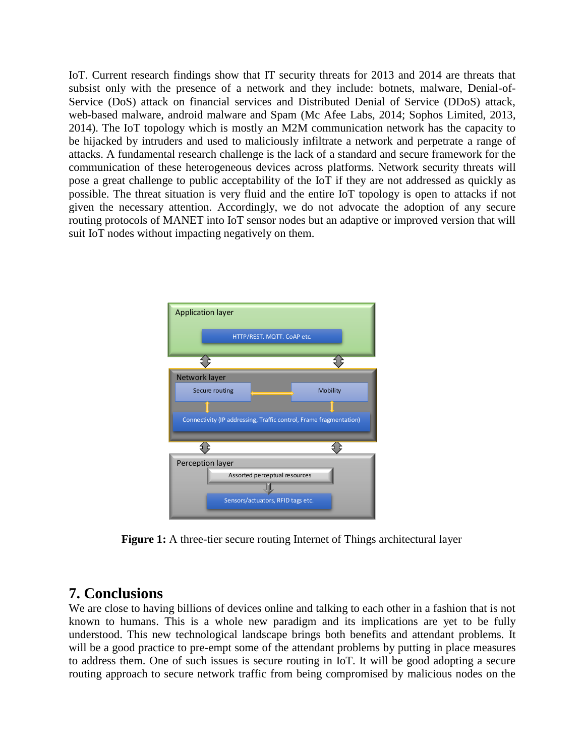IoT. Current research findings show that IT security threats for 2013 and 2014 are threats that subsist only with the presence of a network and they include: botnets, malware, Denial-of-Service (DoS) attack on financial services and Distributed Denial of Service (DDoS) attack, web-based malware, android malware and Spam [\(Mc Afee Labs, 2014;](#page-9-11) [Sophos Limited, 2013,](#page-9-12) [2014\)](#page-9-13). The IoT topology which is mostly an M2M communication network has the capacity to be hijacked by intruders and used to maliciously infiltrate a network and perpetrate a range of attacks. A fundamental research challenge is the lack of a standard and secure framework for the communication of these heterogeneous devices across platforms. Network security threats will pose a great challenge to public acceptability of the IoT if they are not addressed as quickly as possible. The threat situation is very fluid and the entire IoT topology is open to attacks if not given the necessary attention. Accordingly, we do not advocate the adoption of any secure routing protocols of MANET into IoT sensor nodes but an adaptive or improved version that will suit IoT nodes without impacting negatively on them.



**Figure 1:** A three-tier secure routing Internet of Things architectural layer

### **7. Conclusions**

We are close to having billions of devices online and talking to each other in a fashion that is not known to humans. This is a whole new paradigm and its implications are yet to be fully understood. This new technological landscape brings both benefits and attendant problems. It will be a good practice to pre-empt some of the attendant problems by putting in place measures to address them. One of such issues is secure routing in IoT. It will be good adopting a secure routing approach to secure network traffic from being compromised by malicious nodes on the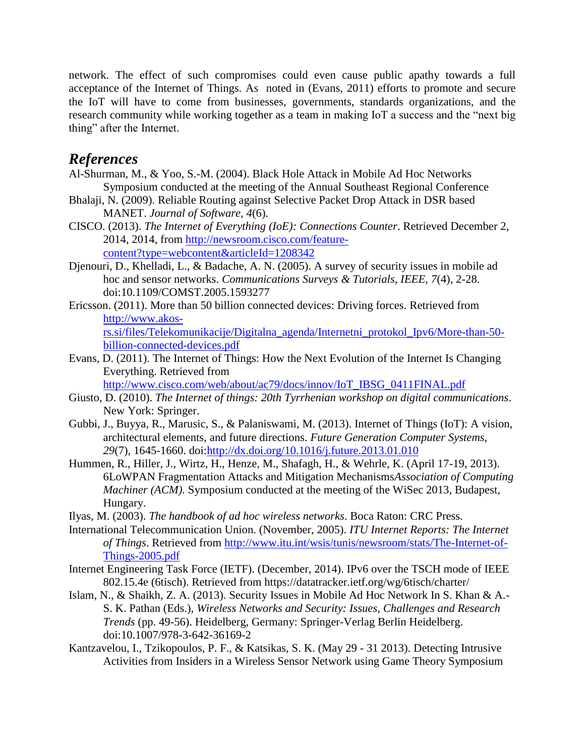network. The effect of such compromises could even cause public apathy towards a full acceptance of the Internet of Things. As noted in [\(Evans, 2011\)](#page-8-2) efforts to promote and secure the IoT will have to come from businesses, governments, standards organizations, and the research community while working together as a team in making IoT a success and the "next big thing" after the Internet.

### *References*

- <span id="page-8-13"></span>Al-Shurman, M., & Yoo, S.-M. (2004). Black Hole Attack in Mobile Ad Hoc Networks Symposium conducted at the meeting of the Annual Southeast Regional Conference
- <span id="page-8-9"></span>Bhalaji, N. (2009). Reliable Routing against Selective Packet Drop Attack in DSR based MANET. *Journal of Software, 4*(6).
- <span id="page-8-0"></span>CISCO. (2013). *The Internet of Everything (IoE): Connections Counter*. Retrieved December 2, 2014, 2014, from [http://newsroom.cisco.com/feature](http://newsroom.cisco.com/feature-content?type=webcontent&articleId=1208342)[content?type=webcontent&articleId=1208342](http://newsroom.cisco.com/feature-content?type=webcontent&articleId=1208342)
- <span id="page-8-8"></span>Djenouri, D., Khelladi, L., & Badache, A. N. (2005). A survey of security issues in mobile ad hoc and sensor networks. *Communications Surveys & Tutorials, IEEE, 7*(4), 2-28. doi:10.1109/COMST.2005.1593277
- <span id="page-8-1"></span>Ericsson. (2011). More than 50 billion connected devices: Driving forces. Retrieved from [http://www.akos-](http://www.akos-rs.si/files/Telekomunikacije/Digitalna_agenda/Internetni_protokol_Ipv6/More-than-50-billion-connected-devices.pdf)

[rs.si/files/Telekomunikacije/Digitalna\\_agenda/Internetni\\_protokol\\_Ipv6/More-than-50](http://www.akos-rs.si/files/Telekomunikacije/Digitalna_agenda/Internetni_protokol_Ipv6/More-than-50-billion-connected-devices.pdf) [billion-connected-devices.pdf](http://www.akos-rs.si/files/Telekomunikacije/Digitalna_agenda/Internetni_protokol_Ipv6/More-than-50-billion-connected-devices.pdf)

<span id="page-8-2"></span>Evans, D. (2011). The Internet of Things: How the Next Evolution of the Internet Is Changing Everything. Retrieved from

[http://www.cisco.com/web/about/ac79/docs/innov/IoT\\_IBSG\\_0411FINAL.pdf](http://www.cisco.com/web/about/ac79/docs/innov/IoT_IBSG_0411FINAL.pdf)

- <span id="page-8-4"></span>Giusto, D. (2010). *The Internet of things: 20th Tyrrhenian workshop on digital communications*. New York: Springer.
- <span id="page-8-5"></span>Gubbi, J., Buyya, R., Marusic, S., & Palaniswami, M. (2013). Internet of Things (IoT): A vision, architectural elements, and future directions. *Future Generation Computer Systems, 29*(7), 1645-1660. doi[:http://dx.doi.org/10.1016/j.future.2013.01.010](http://dx.doi.org/10.1016/j.future.2013.01.010)
- <span id="page-8-12"></span>Hummen, R., Hiller, J., Wirtz, H., Henze, M., Shafagh, H., & Wehrle, K. (April 17-19, 2013). 6LoWPAN Fragmentation Attacks and Mitigation Mechanisms*Association of Computing Machiner (ACM).* Symposium conducted at the meeting of the WiSec 2013, Budapest, Hungary.
- <span id="page-8-6"></span>Ilyas, M. (2003). *The handbook of ad hoc wireless networks*. Boca Raton: CRC Press.
- <span id="page-8-3"></span>International Telecommunication Union. (November, 2005). *ITU Internet Reports: The Internet of Things*. Retrieved from [http://www.itu.int/wsis/tunis/newsroom/stats/The-Internet-of-](http://www.itu.int/wsis/tunis/newsroom/stats/The-Internet-of-Things-2005.pdf)[Things-2005.pdf](http://www.itu.int/wsis/tunis/newsroom/stats/The-Internet-of-Things-2005.pdf)
- <span id="page-8-10"></span>Internet Engineering Task Force (IETF). (December, 2014). IPv6 over the TSCH mode of IEEE 802.15.4e (6tisch). Retrieved from https://datatracker.ietf.org/wg/6tisch/charter/
- <span id="page-8-7"></span>Islam, N., & Shaikh, Z. A. (2013). Security Issues in Mobile Ad Hoc Network In S. Khan & A.- S. K. Pathan (Eds.), *Wireless Networks and Security: Issues, Challenges and Research Trends* (pp. 49-56). Heidelberg, Germany: Springer-Verlag Berlin Heidelberg. doi:10.1007/978-3-642-36169-2
- <span id="page-8-11"></span>Kantzavelou, I., Tzikopoulos, P. F., & Katsikas, S. K. (May 29 - 31 2013). Detecting Intrusive Activities from Insiders in a Wireless Sensor Network using Game Theory Symposium